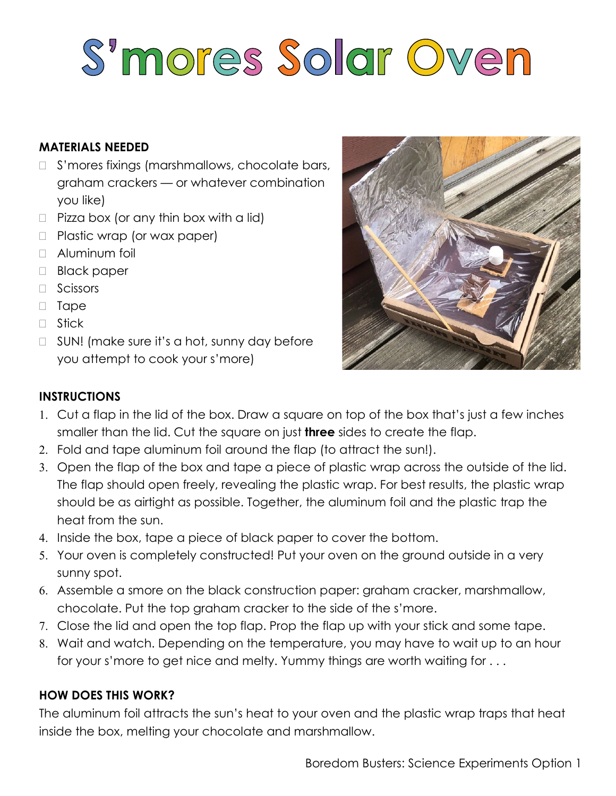# S'mores Solar Oven

### **MATERIALS NEEDED**

- □ S'mores fixings (marshmallows, chocolate bars, graham crackers — or whatever combination you like)
- $\Box$  Pizza box (or any thin box with a lid)
- □ Plastic wrap (or wax paper)
- □ Aluminum foil
- Black paper
- **D** Scissors
- Tape
- □ Stick
- $\Box$  SUN! (make sure it's a hot, sunny day before you attempt to cook your s'more)



#### **INSTRUCTIONS**

- Cut a flap in the lid of the box. Draw a square on top of the box that's just a few inches smaller than the lid. Cut the square on just **three** sides to create the flap.
- Fold and tape aluminum foil around the flap (to attract the sun!).
- 3. Open the flap of the box and tape a piece of plastic wrap across the outside of the lid. The flap should open freely, revealing the plastic wrap. For best results, the plastic wrap should be as airtight as possible. Together, the aluminum foil and the plastic trap the heat from the sun.
- 4. Inside the box, tape a piece of black paper to cover the bottom.
- Your oven is completely constructed! Put your oven on the ground outside in a very sunny spot.
- Assemble a smore on the black construction paper: graham cracker, marshmallow, chocolate. Put the top graham cracker to the side of the s'more.
- Close the lid and open the top flap. Prop the flap up with your stick and some tape.
- Wait and watch. Depending on the temperature, you may have to wait up to an hour for your s'more to get nice and melty. Yummy things are worth waiting for . . .

#### **HOW DOES THIS WORK?**

The aluminum foil attracts the sun's heat to your oven and the plastic wrap traps that heat inside the box, melting your chocolate and marshmallow.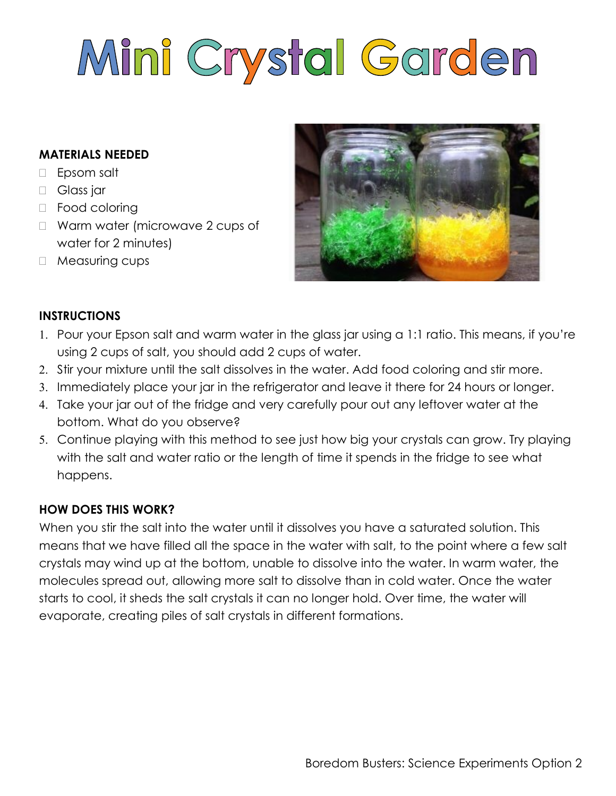# Mini Crystal Garden

#### **MATERIALS NEEDED**

- Epsom salt
- Glass jar
- □ Food coloring
- □ Warm water (microwave 2 cups of water for 2 minutes)
- □ Measuring cups



#### **INSTRUCTIONS**

- Pour your Epson salt and warm water in the glass jar using a 1:1 ratio. This means, if you're using 2 cups of salt, you should add 2 cups of water.
- 2. Stir your mixture until the salt dissolves in the water. Add food coloring and stir more.
- 3. Immediately place your jar in the refrigerator and leave it there for 24 hours or longer.
- 4. Take your jar out of the fridge and very carefully pour out any leftover water at the bottom. What do you observe?
- Continue playing with this method to see just how big your crystals can grow. Try playing with the salt and water ratio or the length of time it spends in the fridge to see what happens.

#### **HOW DOES THIS WORK?**

When you stir the salt into the water until it dissolves you have a saturated solution. This means that we have filled all the space in the water with salt, to the point where a few salt crystals may wind up at the bottom, unable to dissolve into the water. In warm water, the molecules spread out, allowing more salt to dissolve than in cold water. Once the water starts to cool, it sheds the salt crystals it can no longer hold. Over time, the water will evaporate, creating piles of salt crystals in different formations.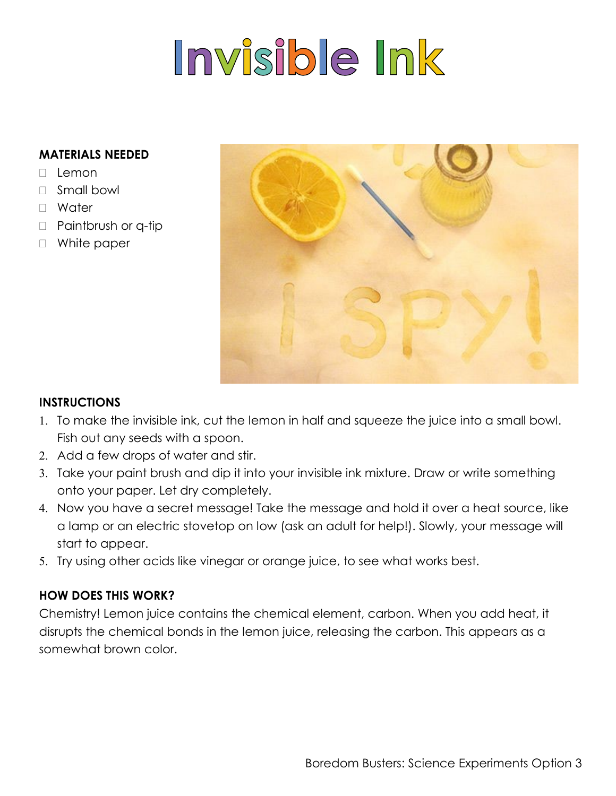# Invisible Ink

#### **MATERIALS NEEDED**

- $\Box$  Lemon
- Small bowl
- Water
- □ Paintbrush or q-tip
- □ White paper



#### **INSTRUCTIONS**

- 1. To make the invisible ink, cut the lemon in half and squeeze the juice into a small bowl. Fish out any seeds with a spoon.
- 2. Add a few drops of water and stir.
- 3. Take your paint brush and dip it into your invisible ink mixture. Draw or write something onto your paper. Let dry completely.
- 4. Now you have a secret message! Take the message and hold it over a heat source, like a lamp or an electric stovetop on low (ask an adult for help!). Slowly, your message will start to appear.
- 5. Try using other acids like vinegar or orange juice, to see what works best.

#### **HOW DOES THIS WORK?**

Chemistry! Lemon juice contains the chemical element, carbon. When you add heat, it disrupts the chemical bonds in the lemon juice, releasing the carbon. This appears as a somewhat brown color.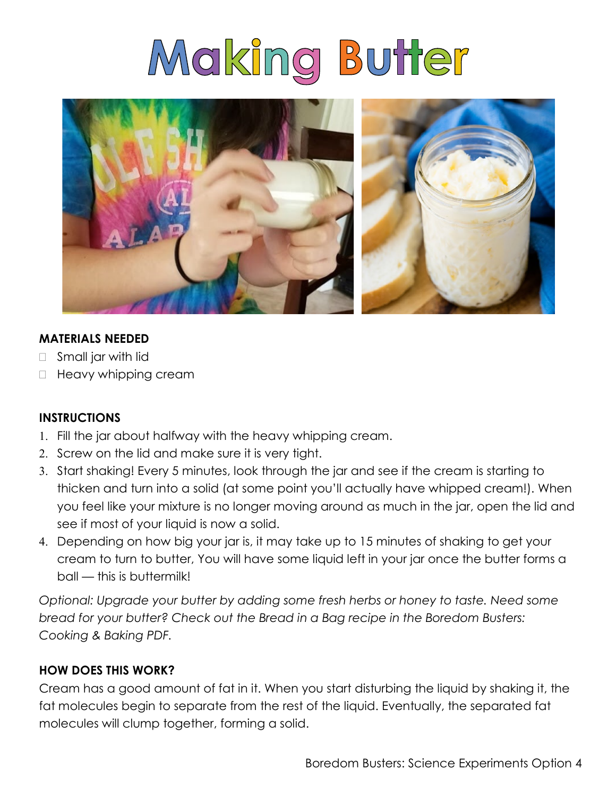# Making Butter



#### **MATERIALS NEEDED**

- □ Small jar with lid
- $\Box$  Heavy whipping cream

#### **INSTRUCTIONS**

- Fill the jar about halfway with the heavy whipping cream.
- 2. Screw on the lid and make sure it is very tight.
- Start shaking! Every 5 minutes, look through the jar and see if the cream is starting to thicken and turn into a solid (at some point you'll actually have whipped cream!). When you feel like your mixture is no longer moving around as much in the jar, open the lid and see if most of your liquid is now a solid.
- Depending on how big your jar is, it may take up to 15 minutes of shaking to get your cream to turn to butter, You will have some liquid left in your jar once the butter forms a ball — this is buttermilk!

*Optional: Upgrade your butter by adding some fresh herbs or honey to taste. Need some bread for your butter? Check out the Bread in a Bag recipe in the Boredom Busters: Cooking & Baking PDF.*

#### **HOW DOES THIS WORK?**

Cream has a good amount of fat in it. When you start disturbing the liquid by shaking it, the fat molecules begin to separate from the rest of the liquid. Eventually, the separated fat molecules will clump together, forming a solid.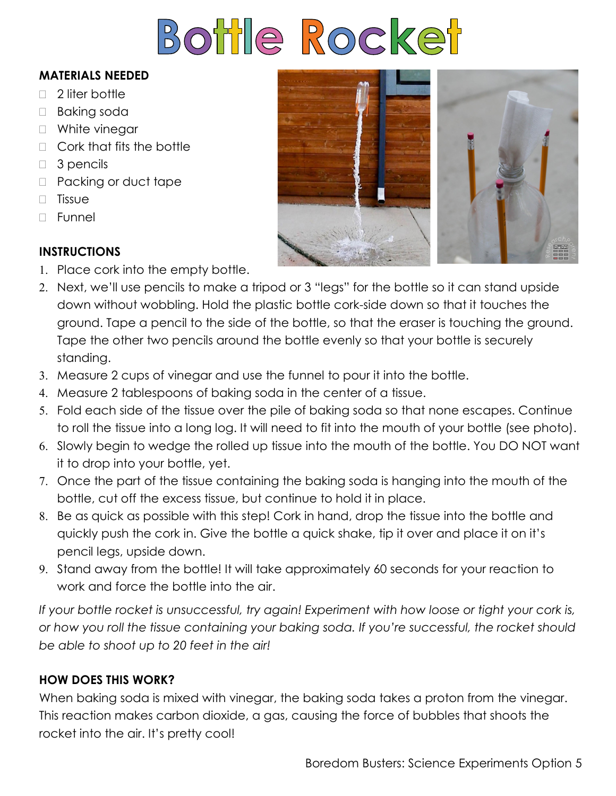# Bottle Rocket

#### **MATERIALS NEEDED**

- $\Box$  2 liter bottle
- □ Baking soda
- □ White vinegar
- □ Cork that fits the bottle
- $\Box$  3 pencils
- D Packing or duct tape
- $\Box$  Tissue
- $\Box$  Funnel

## **INSTRUCTIONS**

- 1. Place cork into the empty bottle.
- Next, we'll use pencils to make a tripod or 3 "legs" for the bottle so it can stand upside down without wobbling. Hold the plastic bottle cork-side down so that it touches the ground. Tape a pencil to the side of the bottle, so that the eraser is touching the ground. Tape the other two pencils around the bottle evenly so that your bottle is securely standing.
- Measure 2 cups of vinegar and use the funnel to pour it into the bottle.
- Measure 2 tablespoons of baking soda in the center of a tissue.
- Fold each side of the tissue over the pile of baking soda so that none escapes. Continue to roll the tissue into a long log. It will need to fit into the mouth of your bottle (see photo).
- 6. Slowly begin to wedge the rolled up tissue into the mouth of the bottle. You DO NOT want it to drop into your bottle, yet.
- Once the part of the tissue containing the baking soda is hanging into the mouth of the bottle, cut off the excess tissue, but continue to hold it in place.
- Be as quick as possible with this step! Cork in hand, drop the tissue into the bottle and quickly push the cork in. Give the bottle a quick shake, tip it over and place it on it's pencil legs, upside down.
- 9. Stand away from the bottle! It will take approximately 60 seconds for your reaction to work and force the bottle into the air.

*If your bottle rocket is unsuccessful, try again! Experiment with how loose or tight your cork is, or how you roll the tissue containing your baking soda. If you're successful, the rocket should be able to shoot up to 20 feet in the air!*

## **HOW DOES THIS WORK?**

When baking soda is mixed with vinegar, the baking soda takes a proton from the vinegar. This reaction makes carbon dioxide, a gas, causing the force of bubbles that shoots the rocket into the air. It's pretty cool!

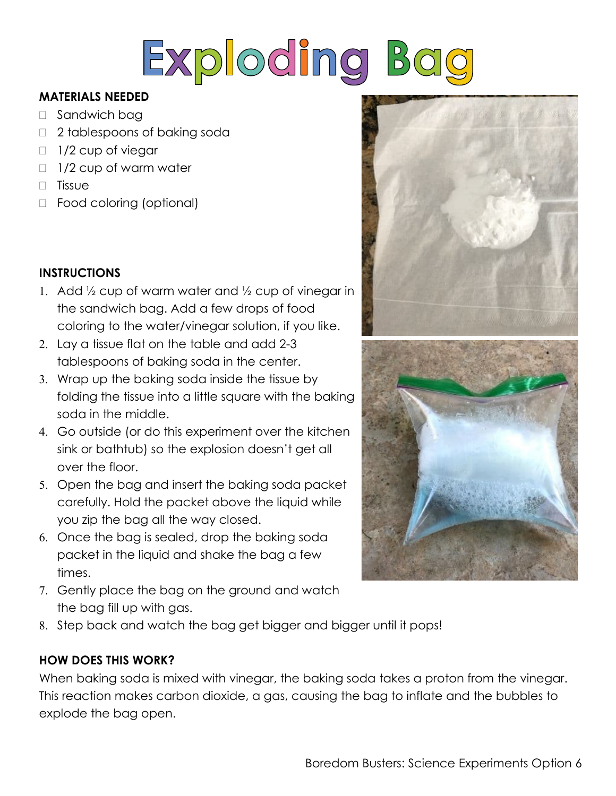

#### **MATERIALS NEEDED**

- □ Sandwich bag
- □ 2 tablespoons of baking soda
- $\Box$  1/2 cup of viegar
- $\Box$  1/2 cup of warm water
- $\Box$  Tissue
- □ Food coloring (optional)

## **INSTRUCTIONS**

- 1. Add  $\frac{1}{2}$  cup of warm water and  $\frac{1}{2}$  cup of vinegar in the sandwich bag. Add a few drops of food coloring to the water/vinegar solution, if you like.
- 2. Lay a tissue flat on the table and add 2-3 tablespoons of baking soda in the center.
- 3. Wrap up the baking soda inside the tissue by folding the tissue into a little square with the baking soda in the middle.
- Go outside (or do this experiment over the kitchen sink or bathtub) so the explosion doesn't get all over the floor.
- Open the bag and insert the baking soda packet carefully. Hold the packet above the liquid while you zip the bag all the way closed.
- Once the bag is sealed, drop the baking soda packet in the liquid and shake the bag a few times.
- 7. Gently place the bag on the ground and watch the bag fill up with gas.
- Step back and watch the bag get bigger and bigger until it pops!

## **HOW DOES THIS WORK?**

When baking soda is mixed with vinegar, the baking soda takes a proton from the vinegar. This reaction makes carbon dioxide, a gas, causing the bag to inflate and the bubbles to explode the bag open.